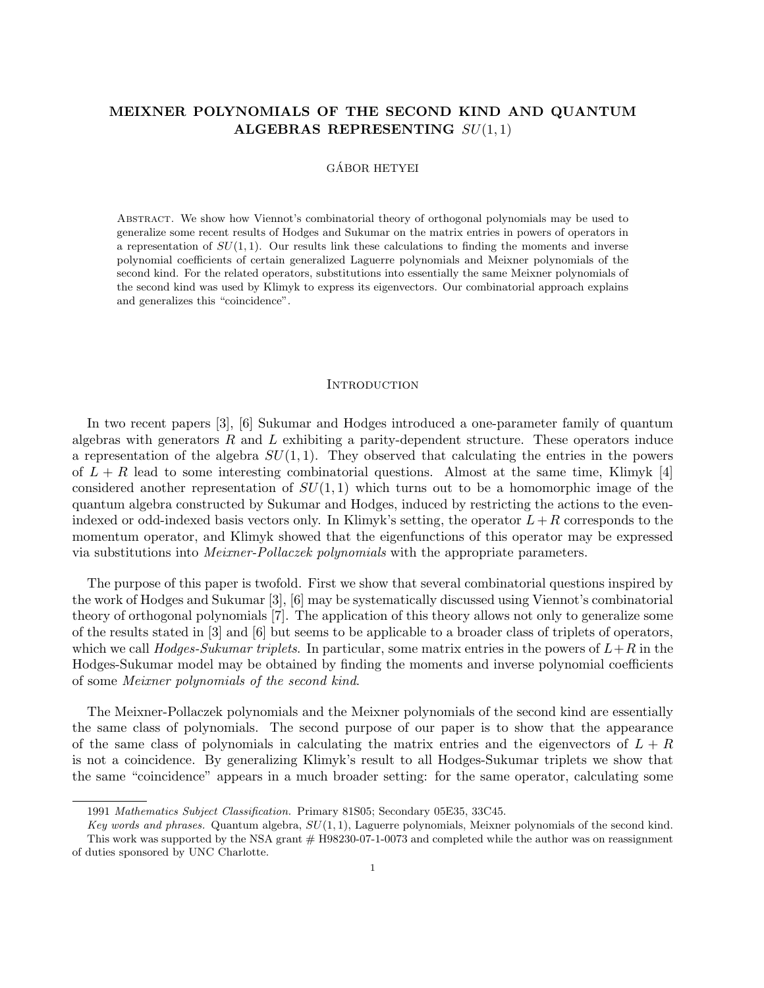# MEIXNER POLYNOMIALS OF THE SECOND KIND AND QUANTUM ALGEBRAS REPRESENTING  $SU(1,1)$

# GÁBOR HETYEI

Abstract. We show how Viennot's combinatorial theory of orthogonal polynomials may be used to generalize some recent results of Hodges and Sukumar on the matrix entries in powers of operators in a representation of  $SU(1,1)$ . Our results link these calculations to finding the moments and inverse polynomial coefficients of certain generalized Laguerre polynomials and Meixner polynomials of the second kind. For the related operators, substitutions into essentially the same Meixner polynomials of the second kind was used by Klimyk to express its eigenvectors. Our combinatorial approach explains and generalizes this "coincidence".

### **INTRODUCTION**

In two recent papers [3], [6] Sukumar and Hodges introduced a one-parameter family of quantum algebras with generators  $R$  and  $L$  exhibiting a parity-dependent structure. These operators induce a representation of the algebra  $SU(1,1)$ . They observed that calculating the entries in the powers of  $L + R$  lead to some interesting combinatorial questions. Almost at the same time, Klimyk [4] considered another representation of  $SU(1,1)$  which turns out to be a homomorphic image of the quantum algebra constructed by Sukumar and Hodges, induced by restricting the actions to the evenindexed or odd-indexed basis vectors only. In Klimyk's setting, the operator  $L+R$  corresponds to the momentum operator, and Klimyk showed that the eigenfunctions of this operator may be expressed via substitutions into Meixner-Pollaczek polynomials with the appropriate parameters.

The purpose of this paper is twofold. First we show that several combinatorial questions inspired by the work of Hodges and Sukumar [3], [6] may be systematically discussed using Viennot's combinatorial theory of orthogonal polynomials [7]. The application of this theory allows not only to generalize some of the results stated in [3] and [6] but seems to be applicable to a broader class of triplets of operators, which we call Hodges-Sukumar triplets. In particular, some matrix entries in the powers of  $L+R$  in the Hodges-Sukumar model may be obtained by finding the moments and inverse polynomial coefficients of some Meixner polynomials of the second kind.

The Meixner-Pollaczek polynomials and the Meixner polynomials of the second kind are essentially the same class of polynomials. The second purpose of our paper is to show that the appearance of the same class of polynomials in calculating the matrix entries and the eigenvectors of  $L + R$ is not a coincidence. By generalizing Klimyk's result to all Hodges-Sukumar triplets we show that the same "coincidence" appears in a much broader setting: for the same operator, calculating some

<sup>1991</sup> Mathematics Subject Classification. Primary 81S05; Secondary 05E35, 33C45.

Key words and phrases. Quantum algebra,  $SU(1,1)$ , Laguerre polynomials, Meixner polynomials of the second kind. This work was supported by the NSA grant # H98230-07-1-0073 and completed while the author was on reassignment of duties sponsored by UNC Charlotte.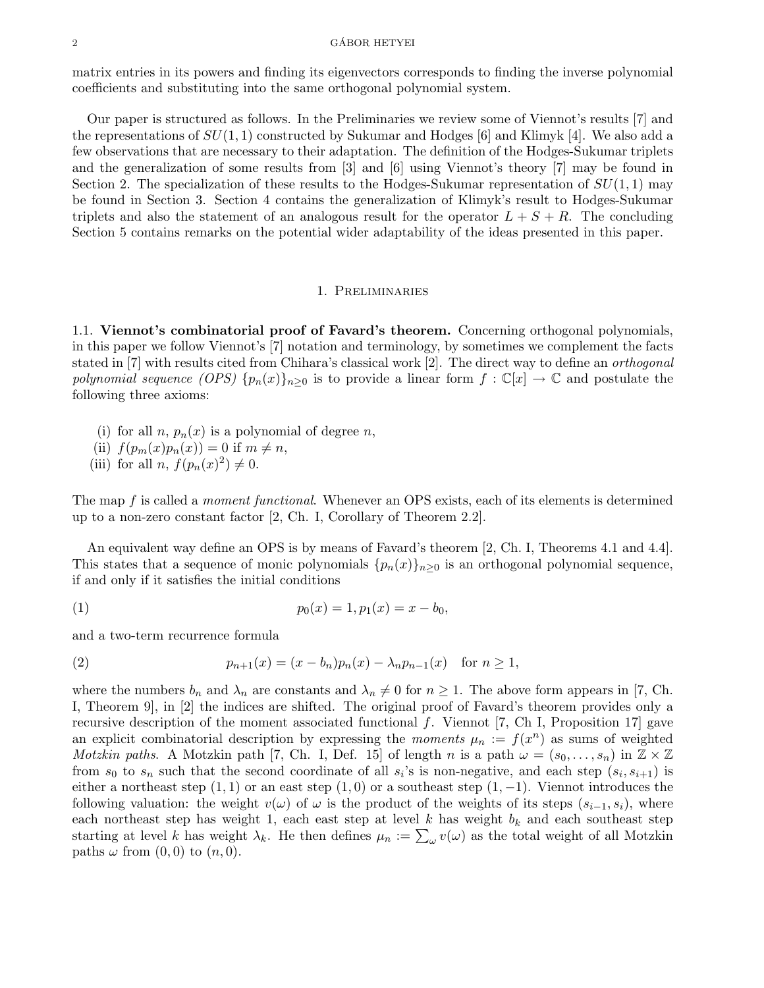#### $\overline{\text{GABOR HETYEI}}$

matrix entries in its powers and finding its eigenvectors corresponds to finding the inverse polynomial coefficients and substituting into the same orthogonal polynomial system.

Our paper is structured as follows. In the Preliminaries we review some of Viennot's results [7] and the representations of  $SU(1, 1)$  constructed by Sukumar and Hodges [6] and Klimyk [4]. We also add a few observations that are necessary to their adaptation. The definition of the Hodges-Sukumar triplets and the generalization of some results from [3] and [6] using Viennot's theory [7] may be found in Section 2. The specialization of these results to the Hodges-Sukumar representation of  $SU(1,1)$  may be found in Section 3. Section 4 contains the generalization of Klimyk's result to Hodges-Sukumar triplets and also the statement of an analogous result for the operator  $L + S + R$ . The concluding Section 5 contains remarks on the potential wider adaptability of the ideas presented in this paper.

# 1. Preliminaries

1.1. Viennot's combinatorial proof of Favard's theorem. Concerning orthogonal polynomials, in this paper we follow Viennot's [7] notation and terminology, by sometimes we complement the facts stated in [7] with results cited from Chihara's classical work [2]. The direct way to define an orthogonal polynomial sequence (OPS)  $\{p_n(x)\}_{n\geq 0}$  is to provide a linear form  $f : \mathbb{C}[x] \to \mathbb{C}$  and postulate the following three axioms:

- (i) for all n,  $p_n(x)$  is a polynomial of degree n,
- (ii)  $f(p_m(x)p_n(x)) = 0$  if  $m \neq n$ ,
- (iii) for all *n*,  $f(p_n(x)^2) \neq 0$ .

The map f is called a *moment functional*. Whenever an OPS exists, each of its elements is determined up to a non-zero constant factor [2, Ch. I, Corollary of Theorem 2.2].

An equivalent way define an OPS is by means of Favard's theorem [2, Ch. I, Theorems 4.1 and 4.4]. This states that a sequence of monic polynomials  $\{p_n(x)\}_{n>0}$  is an orthogonal polynomial sequence, if and only if it satisfies the initial conditions

(1) 
$$
p_0(x) = 1, p_1(x) = x - b_0,
$$

and a two-term recurrence formula

(2) 
$$
p_{n+1}(x) = (x - b_n)p_n(x) - \lambda_n p_{n-1}(x) \text{ for } n \ge 1,
$$

where the numbers  $b_n$  and  $\lambda_n$  are constants and  $\lambda_n \neq 0$  for  $n \geq 1$ . The above form appears in [7, Ch. I, Theorem 9], in [2] the indices are shifted. The original proof of Favard's theorem provides only a recursive description of the moment associated functional  $f$ . Viennot [7, Ch I, Proposition 17] gave an explicit combinatorial description by expressing the *moments*  $\mu_n := f(x^n)$  as sums of weighted *Motzkin paths.* A Motzkin path [7, Ch. I, Def. 15] of length n is a path  $\omega = (s_0, \ldots, s_n)$  in  $\mathbb{Z} \times \mathbb{Z}$ from  $s_0$  to  $s_n$  such that the second coordinate of all  $s_i$ 's is non-negative, and each step  $(s_i, s_{i+1})$  is either a northeast step  $(1, 1)$  or an east step  $(1, 0)$  or a southeast step  $(1, -1)$ . Viennot introduces the following valuation: the weight  $v(\omega)$  of  $\omega$  is the product of the weights of its steps  $(s_{i-1}, s_i)$ , where each northeast step has weight 1, each east step at level k has weight  $b_k$  and each southeast step starting at level k has weight  $\lambda_k$ . He then defines  $\mu_n := \sum_{\omega} v(\omega)$  as the total weight of all Motzkin paths  $\omega$  from  $(0,0)$  to  $(n,0)$ .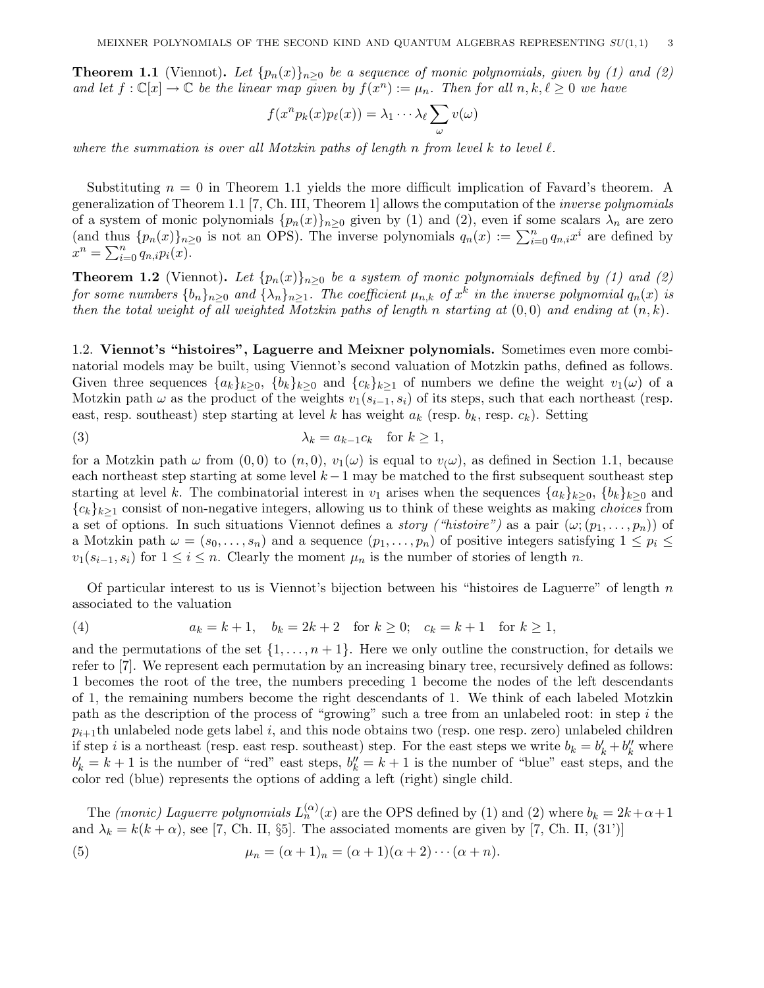**Theorem 1.1** (Viennot). Let  $\{p_n(x)\}_{n>0}$  be a sequence of monic polynomials, given by (1) and (2) and let  $f: \mathbb{C}[x] \to \mathbb{C}$  be the linear map given by  $f(x^n) := \mu_n$ . Then for all  $n, k, \ell \geq 0$  we have

$$
f(x^n p_k(x) p_\ell(x)) = \lambda_1 \cdots \lambda_\ell \sum_\omega v(\omega)
$$

where the summation is over all Motzkin paths of length n from level k to level  $\ell$ .

Substituting  $n = 0$  in Theorem 1.1 yields the more difficult implication of Favard's theorem. A generalization of Theorem 1.1 [7, Ch. III, Theorem 1] allows the computation of the inverse polynomials of a system of monic polynomials  $\{p_n(x)\}_{n\geq 0}$  given by (1) and (2), even if some scalars  $\lambda_n$  are zero (and thus  $\{p_n(x)\}_{n\geq 0}$  is not an OPS). The inverse polynomials  $q_n(x) := \sum_{i=0}^n q_{n,i} x^i$  are defined by  $x^n = \sum_{i=0}^n q_{n,i} p_i(x).$ 

**Theorem 1.2** (Viennot). Let  $\{p_n(x)\}_{n\geq 0}$  be a system of monic polynomials defined by (1) and (2) for some numbers  $\{b_n\}_{n\geq 0}$  and  $\{\lambda_n\}_{n\geq 1}$ . The coefficient  $\mu_{n,k}$  of  $x^k$  in the inverse polynomial  $q_n(x)$  is then the total weight of all weighted Motzkin paths of length n starting at  $(0, 0)$  and ending at  $(n, k)$ .

1.2. Viennot's "histoires", Laguerre and Meixner polynomials. Sometimes even more combinatorial models may be built, using Viennot's second valuation of Motzkin paths, defined as follows. Given three sequences  $\{a_k\}_{k\geq 0}$ ,  $\{b_k\}_{k\geq 0}$  and  $\{c_k\}_{k\geq 1}$  of numbers we define the weight  $v_1(\omega)$  of a Motzkin path  $\omega$  as the product of the weights  $v_1(s_{i-1}, s_i)$  of its steps, such that each northeast (resp. east, resp. southeast) step starting at level k has weight  $a_k$  (resp.  $b_k$ , resp.  $c_k$ ). Setting

(3) 
$$
\lambda_k = a_{k-1}c_k \text{ for } k \ge 1,
$$

for a Motzkin path  $\omega$  from  $(0, 0)$  to  $(n, 0)$ ,  $v_1(\omega)$  is equal to  $v_i(\omega)$ , as defined in Section 1.1, because each northeast step starting at some level  $k-1$  may be matched to the first subsequent southeast step starting at level k. The combinatorial interest in  $v_1$  arises when the sequences  $\{a_k\}_{k>0}$ ,  $\{b_k\}_{k>0}$  and  ${c_k}_{k>1}$  consist of non-negative integers, allowing us to think of these weights as making *choices* from a set of options. In such situations Viennot defines a *story ("histoire")* as a pair  $(\omega; (p_1, \ldots, p_n))$  of a Motzkin path  $\omega = (s_0, \ldots, s_n)$  and a sequence  $(p_1, \ldots, p_n)$  of positive integers satisfying  $1 \leq p_i \leq$  $v_1(s_{i-1}, s_i)$  for  $1 \leq i \leq n$ . Clearly the moment  $\mu_n$  is the number of stories of length n.

Of particular interest to us is Viennot's bijection between his "histoires de Laguerre" of length  $n$ associated to the valuation

(4) 
$$
a_k = k + 1
$$
,  $b_k = 2k + 2$  for  $k \ge 0$ ;  $c_k = k + 1$  for  $k \ge 1$ ,

and the permutations of the set  $\{1, \ldots, n+1\}$ . Here we only outline the construction, for details we refer to [7]. We represent each permutation by an increasing binary tree, recursively defined as follows: 1 becomes the root of the tree, the numbers preceding 1 become the nodes of the left descendants of 1, the remaining numbers become the right descendants of 1. We think of each labeled Motzkin path as the description of the process of "growing" such a tree from an unlabeled root: in step i the  $p_{i+1}$ th unlabeled node gets label i, and this node obtains two (resp. one resp. zero) unlabeled children if step i is a northeast (resp. east resp. southeast) step. For the east steps we write  $b_k = b'_k + b''_k$  where  $b'_k = k+1$  is the number of "red" east steps,  $b''_k = k+1$  is the number of "blue" east steps, and the color red (blue) represents the options of adding a left (right) single child.

The *(monic)* Laguerre polynomials  $L_n^{(\alpha)}(x)$  are the OPS defined by (1) and (2) where  $b_k = 2k + \alpha + 1$ and  $\lambda_k = k(k + \alpha)$ , see [7, Ch. II, §5]. The associated moments are given by [7, Ch. II, (31')]

(5) 
$$
\mu_n = (\alpha + 1)_n = (\alpha + 1)(\alpha + 2) \cdots (\alpha + n).
$$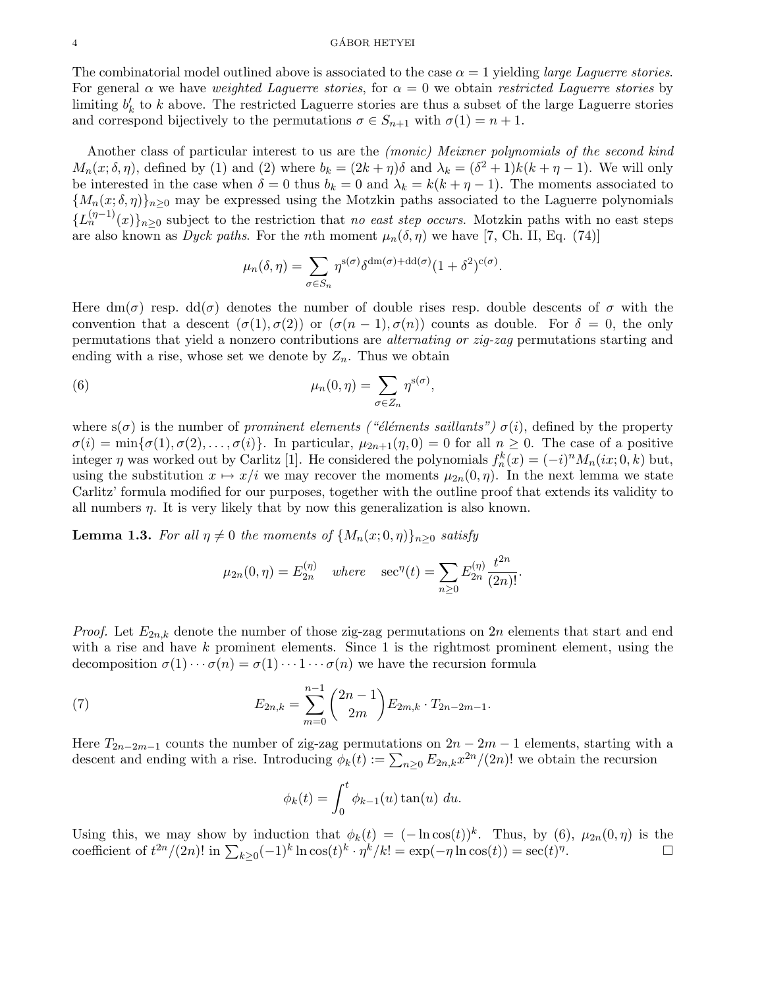#### 4 GABOR HETYEI ´

The combinatorial model outlined above is associated to the case  $\alpha = 1$  yielding *large Laguerre stories*. For general  $\alpha$  we have *weighted Laguerre stories*, for  $\alpha = 0$  we obtain *restricted Laguerre stories* by limiting  $b'_k$  to k above. The restricted Laguerre stories are thus a subset of the large Laguerre stories and correspond bijectively to the permutations  $\sigma \in S_{n+1}$  with  $\sigma(1) = n+1$ .

Another class of particular interest to us are the (monic) Meixner polynomials of the second kind  $M_n(x;\delta,\eta)$ , defined by (1) and (2) where  $b_k = (2k+\eta)\delta$  and  $\lambda_k = (\delta^2+1)k(k+\eta-1)$ . We will only be interested in the case when  $\delta = 0$  thus  $b_k = 0$  and  $\lambda_k = k(k + \eta - 1)$ . The moments associated to  ${M_n(x; \delta, \eta)}_{n>0}$  may be expressed using the Motzkin paths associated to the Laguerre polynomials  ${L_n^{(\eta-1)}(x)}_{n\geq 0}$  subject to the restriction that no east step occurs. Motzkin paths with no east steps are also known as Dyck paths. For the nth moment  $\mu_n(\delta, \eta)$  we have [7, Ch. II, Eq. (74)]

$$
\mu_n(\delta, \eta) = \sum_{\sigma \in S_n} \eta^{\mathsf{s}(\sigma)} \delta^{\mathsf{dm}(\sigma) + \mathsf{dd}(\sigma)} (1 + \delta^2)^{\mathsf{c}(\sigma)}.
$$

Here  $dm(\sigma)$  resp.  $dd(\sigma)$  denotes the number of double rises resp. double descents of  $\sigma$  with the convention that a descent  $(\sigma(1), \sigma(2))$  or  $(\sigma(n-1), \sigma(n))$  counts as double. For  $\delta = 0$ , the only permutations that yield a nonzero contributions are alternating or zig-zag permutations starting and ending with a rise, whose set we denote by  $Z_n$ . Thus we obtain

(6) 
$$
\mu_n(0,\eta) = \sum_{\sigma \in Z_n} \eta^{\mathbf{s}(\sigma)},
$$

where  $s(\sigma)$  is the number of prominent elements ("éléments saillants")  $\sigma(i)$ , defined by the property  $\sigma(i) = \min{\{\sigma(1), \sigma(2), \ldots, \sigma(i)\}}$ . In particular,  $\mu_{2n+1}(\eta, 0) = 0$  for all  $n \geq 0$ . The case of a positive integer  $\eta$  was worked out by Carlitz [1]. He considered the polynomials  $f_n^k(x) = (-i)^n M_n(ix; 0, k)$  but, using the substitution  $x \mapsto x/i$  we may recover the moments  $\mu_{2n}(0, \eta)$ . In the next lemma we state Carlitz' formula modified for our purposes, together with the outline proof that extends its validity to all numbers  $\eta$ . It is very likely that by now this generalization is also known.

**Lemma 1.3.** For all  $\eta \neq 0$  the moments of  $\{M_n(x; 0, \eta)\}\)n>0}$  satisfy

$$
\mu_{2n}(0, \eta) = E_{2n}^{(\eta)}
$$
 where  $\sec^{\eta}(t) = \sum_{n \geq 0} E_{2n}^{(\eta)} \frac{t^{2n}}{(2n)!}.$ 

*Proof.* Let  $E_{2n,k}$  denote the number of those zig-zag permutations on 2n elements that start and end with a rise and have  $k$  prominent elements. Since 1 is the rightmost prominent element, using the decomposition  $\sigma(1)\cdots\sigma(n) = \sigma(1)\cdots1\cdots\sigma(n)$  we have the recursion formula

(7) 
$$
E_{2n,k} = \sum_{m=0}^{n-1} {2n-1 \choose 2m} E_{2m,k} \cdot T_{2n-2m-1}.
$$

Here  $T_{2n-2m-1}$  counts the number of zig-zag permutations on  $2n-2m-1$  elements, starting with a descent and ending with a rise. Introducing  $\phi_k(t) := \sum_{n\geq 0} E_{2n,k} x^{2n}/(2n)!$  we obtain the recursion

$$
\phi_k(t) = \int_0^t \phi_{k-1}(u) \tan(u) \ du.
$$

Using this, we may show by induction that  $\phi_k(t) = (-\ln \cos(t))^k$ . Thus, by (6),  $\mu_{2n}(0, \eta)$  is the coefficient of  $t^{2n}/(2n)!$  in  $\sum_{k\geq 0}(-1)^k \ln \cos(t)^k \cdot \eta^k/k! = \exp(-\eta \ln \cos(t)) = \sec(t)^{\eta}$ .<br>. — Петри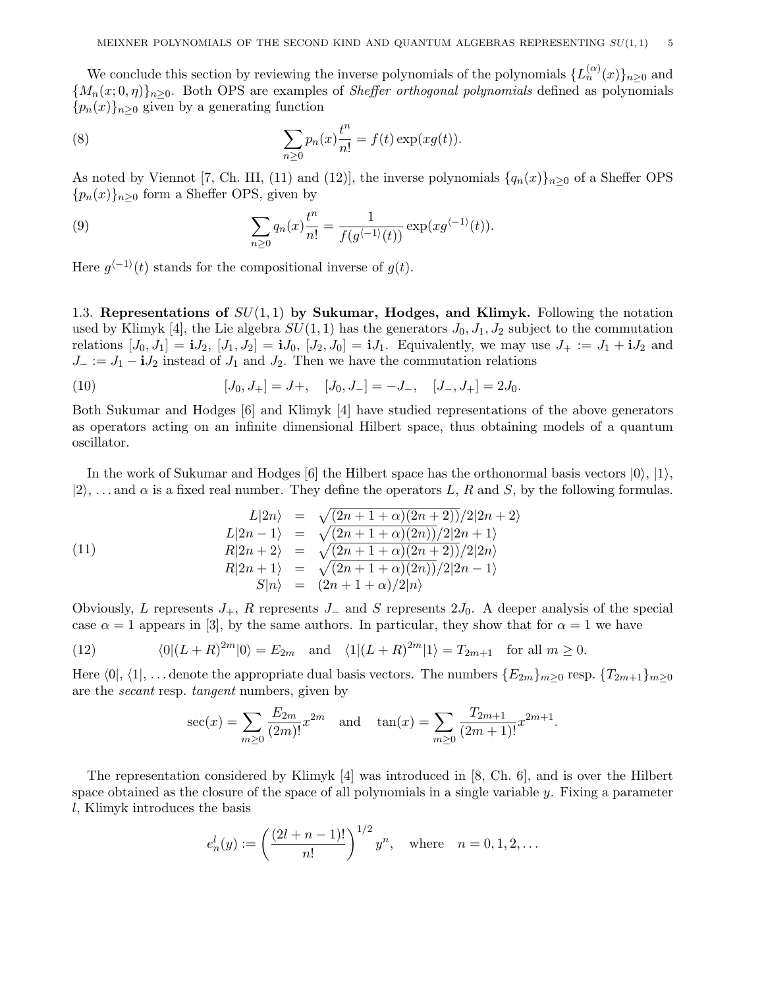We conclude this section by reviewing the inverse polynomials of the polynomials  $\{L_n^{(\alpha)}(x)\}_{n\geq 0}$  and  ${M_n(x,0,\eta)}_{n\geq 0}$ . Both OPS are examples of *Sheffer orthogonal polynomials* defined as polynomials  ${p_n(x)}_{n\geq 0}$  given by a generating function

(8) 
$$
\sum_{n\geq 0} p_n(x) \frac{t^n}{n!} = f(t) \exp(xg(t)).
$$

As noted by Viennot [7, Ch. III, (11) and (12)], the inverse polynomials  $\{q_n(x)\}_{n\geq 0}$  of a Sheffer OPS  ${p_n(x)}_{n\geq0}$  form a Sheffer OPS, given by

(9) 
$$
\sum_{n\geq 0} q_n(x) \frac{t^n}{n!} = \frac{1}{f(g^{\langle -1 \rangle}(t))} \exp(xg^{\langle -1 \rangle}(t)).
$$

Here  $g^{-1}(t)$  stands for the compositional inverse of  $g(t)$ .

1.3. Representations of  $SU(1,1)$  by Sukumar, Hodges, and Klimyk. Following the notation used by Klimyk [4], the Lie algebra  $SU(1,1)$  has the generators  $J_0, J_1, J_2$  subject to the commutation relations  $[J_0, J_1] = iJ_2$ ,  $[J_1, J_2] = iJ_0$ ,  $[J_2, J_0] = iJ_1$ . Equivalently, we may use  $J_+ := J_1 + iJ_2$  and  $J_- := J_1 - iJ_2$  instead of  $J_1$  and  $J_2$ . Then we have the commutation relations

(10) 
$$
[J_0, J_+] = J +, \quad [J_0, J_-] = -J_-, \quad [J_-, J_+] = 2J_0.
$$

Both Sukumar and Hodges [6] and Klimyk [4] have studied representations of the above generators as operators acting on an infinite dimensional Hilbert space, thus obtaining models of a quantum oscillator.

In the work of Sukumar and Hodges [6] the Hilbert space has the orthonormal basis vectors  $|0\rangle, |1\rangle,$  $|2\rangle$ , ... and  $\alpha$  is a fixed real number. They define the operators L, R and S, by the following formulas.

(11)  
\n
$$
L|2n\rangle = \sqrt{(2n+1+\alpha)(2n+2)}/2|2n+2\rangle
$$
\n
$$
L|2n-1\rangle = \sqrt{(2n+1+\alpha)(2n)}/2|2n+1\rangle
$$
\n
$$
R|2n+2\rangle = \sqrt{(2n+1+\alpha)(2n+2)}/2|2n\rangle
$$
\n
$$
R|2n+1\rangle = \sqrt{(2n+1+\alpha)(2n)}/2|2n-1\rangle
$$
\n
$$
S|n\rangle = (2n+1+\alpha)/2|n\rangle
$$

Obviously, L represents  $J_+$ , R represents  $J_-$  and S represents  $2J_0$ . A deeper analysis of the special case  $\alpha = 1$  appears in [3], by the same authors. In particular, they show that for  $\alpha = 1$  we have

(12) 
$$
\langle 0|(L+R)^{2m}|0\rangle = E_{2m} \quad \text{and} \quad \langle 1|(L+R)^{2m}|1\rangle = T_{2m+1} \quad \text{for all } m \ge 0.
$$

Here  $\langle 0|, \langle 1|, \ldots$  denote the appropriate dual basis vectors. The numbers  ${E_{2m}}_{m>0}$  resp.  ${T_{2m+1}}_{m>0}$ are the secant resp. tangent numbers, given by

$$
\sec(x) = \sum_{m\geq 0} \frac{E_{2m}}{(2m)!} x^{2m} \quad \text{and} \quad \tan(x) = \sum_{m\geq 0} \frac{T_{2m+1}}{(2m+1)!} x^{2m+1}.
$$

The representation considered by Klimyk [4] was introduced in [8, Ch. 6], and is over the Hilbert space obtained as the closure of the space of all polynomials in a single variable  $y$ . Fixing a parameter l, Klimyk introduces the basis

$$
e_n^l(y) := \left(\frac{(2l+n-1)!}{n!}\right)^{1/2} y^n
$$
, where  $n = 0, 1, 2, ...$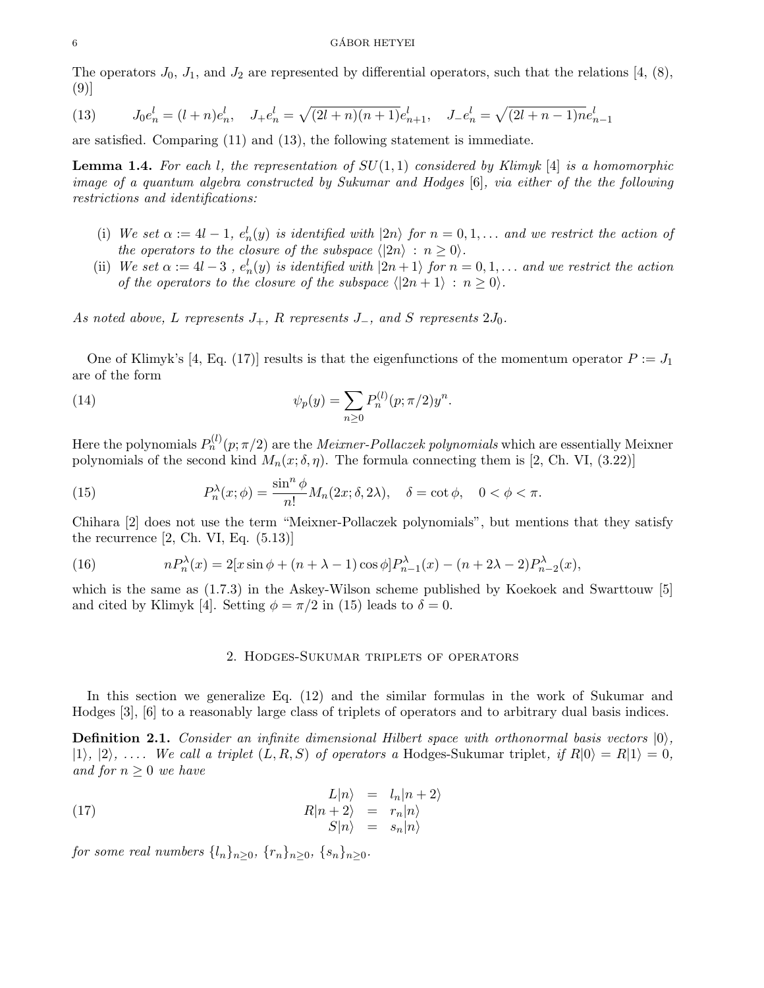### $\bullet$  GÁBOR HETYEI

The operators  $J_0$ ,  $J_1$ , and  $J_2$  are represented by differential operators, such that the relations [4, (8), (9)]

(13) 
$$
J_0 e_n^l = (l+n)e_n^l, \quad J_+ e_n^l = \sqrt{(2l+n)(n+1)}e_{n+1}^l, \quad J_- e_n^l = \sqrt{(2l+n-1)}ne_{n-1}^l
$$

are satisfied. Comparing (11) and (13), the following statement is immediate.

**Lemma 1.4.** For each l, the representation of  $SU(1,1)$  considered by Klimyk [4] is a homomorphic image of a quantum algebra constructed by Sukumar and Hodges [6], via either of the the following restrictions and identifications:

- (i) We set  $\alpha := 4l 1$ ,  $e_n^l(y)$  is identified with  $|2n\rangle$  for  $n = 0, 1, \ldots$  and we restrict the action of the operators to the closure of the subspace  $\langle 2n \rangle : n \geq 0$ .
- (ii) We set  $\alpha := 4l 3$ ,  $e_n^l(y)$  is identified with  $|2n + 1\rangle$  for  $n = 0, 1, \ldots$  and we restrict the action of the operators to the closure of the subspace  $\langle 2n + 1 \rangle : n \ge 0$ .

As noted above, L represents  $J_+$ , R represents  $J_-$ , and S represents  $2J_0$ .

One of Klimyk's [4, Eq. (17)] results is that the eigenfunctions of the momentum operator  $P := J_1$ are of the form

(14) 
$$
\psi_p(y) = \sum_{n\geq 0} P_n^{(l)}(p; \pi/2) y^n.
$$

Here the polynomials  $P_n^{(l)}(p;\pi/2)$  are the *Meixner-Pollaczek polynomials* which are essentially Meixner polynomials of the second kind  $M_n(x; \delta, \eta)$ . The formula connecting them is [2, Ch. VI, (3.22)]

(15) 
$$
P_n^{\lambda}(x; \phi) = \frac{\sin^n \phi}{n!} M_n(2x; \delta, 2\lambda), \quad \delta = \cot \phi, \quad 0 < \phi < \pi.
$$

Chihara [2] does not use the term "Meixner-Pollaczek polynomials", but mentions that they satisfy the recurrence  $[2, Ch. VI, Eq. (5.13)]$ 

(16) 
$$
nP_n^{\lambda}(x) = 2[x\sin\phi + (n+\lambda-1)\cos\phi]P_{n-1}^{\lambda}(x) - (n+2\lambda-2)P_{n-2}^{\lambda}(x),
$$

which is the same as  $(1.7.3)$  in the Askey-Wilson scheme published by Koekoek and Swarttouw [5] and cited by Klimyk [4]. Setting  $\phi = \pi/2$  in (15) leads to  $\delta = 0$ .

### 2. Hodges-Sukumar triplets of operators

In this section we generalize Eq. (12) and the similar formulas in the work of Sukumar and Hodges [3], [6] to a reasonably large class of triplets of operators and to arbitrary dual basis indices.

**Definition 2.1.** Consider an infinite dimensional Hilbert space with orthonormal basis vectors  $|0\rangle$ ,  $|1\rangle, |2\rangle, \ldots$ . We call a triplet  $(L, R, S)$  of operators a Hodges-Sukumar triplet, if  $R|0\rangle = R|1\rangle = 0$ , and for  $n \geq 0$  we have

(17) 
$$
L|n\rangle = l_n|n+2\rangle \nR|n+2\rangle = r_n|n\rangle \nS|n\rangle = s_n|n\rangle
$$

for some real numbers  $\{l_n\}_{n\geq 0}$ ,  $\{r_n\}_{n\geq 0}$ ,  $\{s_n\}_{n\geq 0}$ .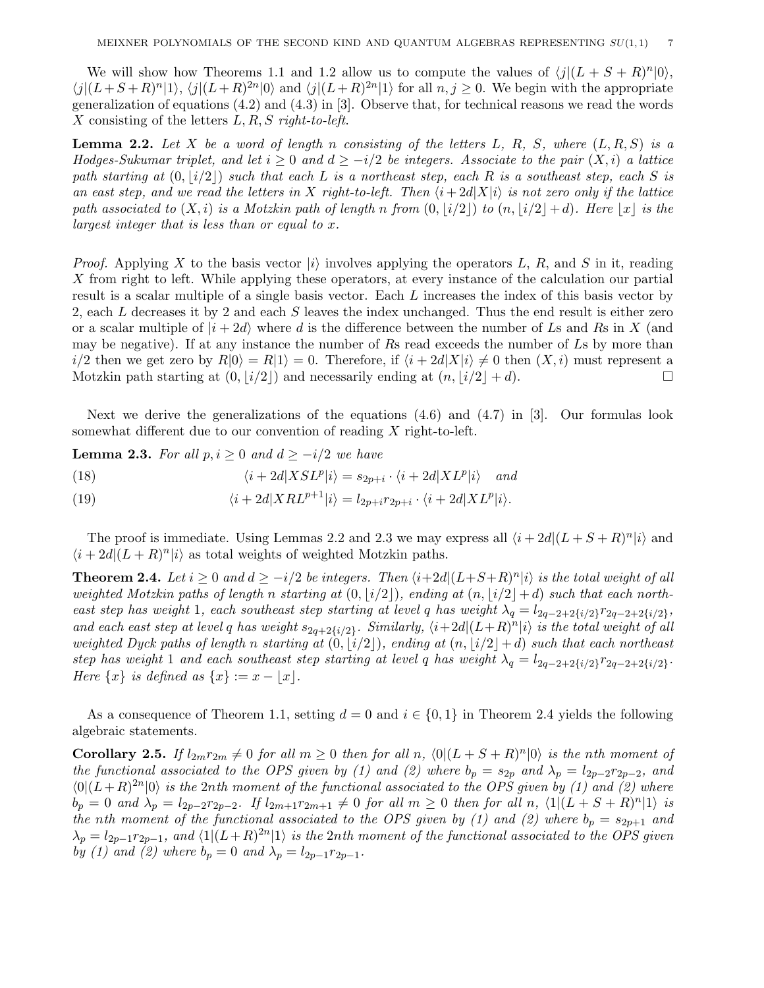We will show how Theorems 1.1 and 1.2 allow us to compute the values of  $\langle j|(L + S + R)^n |0\rangle$ ,  $\langle j|(L+S+R)^n|1\rangle$ ,  $\langle j|(L+R)^{2n}|0\rangle$  and  $\langle j|(L+R)^{2n}|1\rangle$  for all  $n, j \ge 0$ . We begin with the appropriate generalization of equations (4.2) and (4.3) in [3]. Observe that, for technical reasons we read the words X consisting of the letters  $L, R, S$  right-to-left.

**Lemma 2.2.** Let X be a word of length n consisting of the letters L, R, S, where  $(L, R, S)$  is a Hodges-Sukumar triplet, and let  $i > 0$  and  $d > -i/2$  be integers. Associate to the pair  $(X, i)$  a lattice path starting at  $(0, |i/2|)$  such that each L is a northeast step, each R is a southeast step, each S is an east step, and we read the letters in X right-to-left. Then  $\langle i + 2d|X|i\rangle$  is not zero only if the lattice path associated to  $(X, i)$  is a Motzkin path of length n from  $(0, |i/2|)$  to  $(n, |i/2|+d)$ . Here  $|x|$  is the largest integer that is less than or equal to x.

*Proof.* Applying X to the basis vector  $|i\rangle$  involves applying the operators L, R, and S in it, reading X from right to left. While applying these operators, at every instance of the calculation our partial result is a scalar multiple of a single basis vector. Each L increases the index of this basis vector by 2, each L decreases it by 2 and each S leaves the index unchanged. Thus the end result is either zero or a scalar multiple of  $|i + 2d\rangle$  where d is the difference between the number of Ls and Rs in X (and may be negative). If at any instance the number of Rs read exceeds the number of Ls by more than  $i/2$  then we get zero by  $R|0\rangle = R|1\rangle = 0$ . Therefore, if  $\langle i + 2d|X|i\rangle \neq 0$  then  $(X, i)$  must represent a Motzkin path starting at  $(0, |i/2|)$  and necessarily ending at  $(n, |i/2| + d)$ .

Next we derive the generalizations of the equations (4.6) and (4.7) in [3]. Our formulas look somewhat different due to our convention of reading X right-to-left.

**Lemma 2.3.** For all  $p, i \geq 0$  and  $d \geq -i/2$  we have

(18) 
$$
\langle i + 2d|XSL^p|i\rangle = s_{2p+i} \cdot \langle i + 2d|XL^p|i\rangle \quad and
$$

(19) 
$$
\langle i + 2d|XRL^{p+1}|i\rangle = l_{2p+i}r_{2p+i} \cdot \langle i + 2d|XL^p|i\rangle.
$$

The proof is immediate. Using Lemmas 2.2 and 2.3 we may express all  $\langle i + 2d|(L + S + R)^n|i\rangle$  and  $\langle i+2d|(L+R)^n|i\rangle$  as total weights of weighted Motzkin paths.

**Theorem 2.4.** Let  $i \geq 0$  and  $d \geq -i/2$  be integers. Then  $\langle i+2d|(L+S+R)^n|i\rangle$  is the total weight of all weighted Motzkin paths of length n starting at  $(0, |i/2|)$ , ending at  $(n, |i/2|+d)$  such that each northeast step has weight 1, each southeast step starting at level q has weight  $\lambda_q = l_{2q-2+2\{i/2\}}r_{2q-2+2\{i/2\}}$ , and each east step at level q has weight  $s_{2q+2\{i/2\}}$ . Similarly,  $\langle i+2d|(L+R)^n|i\rangle$  is the total weight of all weighted Dyck paths of length n starting at  $(0, |i/2|)$ , ending at  $(n, |i/2|+d)$  such that each northeast step has weight 1 and each southeast step starting at level q has weight  $\lambda_q = l_{2q-2+2\{i/2\}}r_{2q-2+2\{i/2\}}$ . Here  $\{x\}$  is defined as  $\{x\} := x - |x|.$ 

As a consequence of Theorem 1.1, setting  $d = 0$  and  $i \in \{0, 1\}$  in Theorem 2.4 yields the following algebraic statements.

**Corollary 2.5.** If  $l_{2m}r_{2m} \neq 0$  for all  $m \geq 0$  then for all n,  $\langle 0|(L + S + R)^n |0\rangle$  is the nth moment of the functional associated to the OPS given by (1) and (2) where  $b_p = s_{2p}$  and  $\lambda_p = l_{2p-2}r_{2p-2}$ , and  $\langle 0|(L+R)^{2n}|0\rangle$  is the 2nth moment of the functional associated to the OPS given by (1) and (2) where  $b_p = 0$  and  $\lambda_p = l_{2p-2}r_{2p-2}$ . If  $l_{2m+1}r_{2m+1} \neq 0$  for all  $m \geq 0$  then for all  $n, \langle 1 | (L + S + R)^n | 1 \rangle$  is the nth moment of the functional associated to the OPS given by (1) and (2) where  $b_p = s_{2p+1}$  and  $\lambda_p = l_{2p-1}r_{2p-1}$ , and  $\langle 1 | (L+R)^{2n} | 1 \rangle$  is the 2nth moment of the functional associated to the OPS given by (1) and (2) where  $b_p = 0$  and  $\lambda_p = l_{2p-1}r_{2p-1}$ .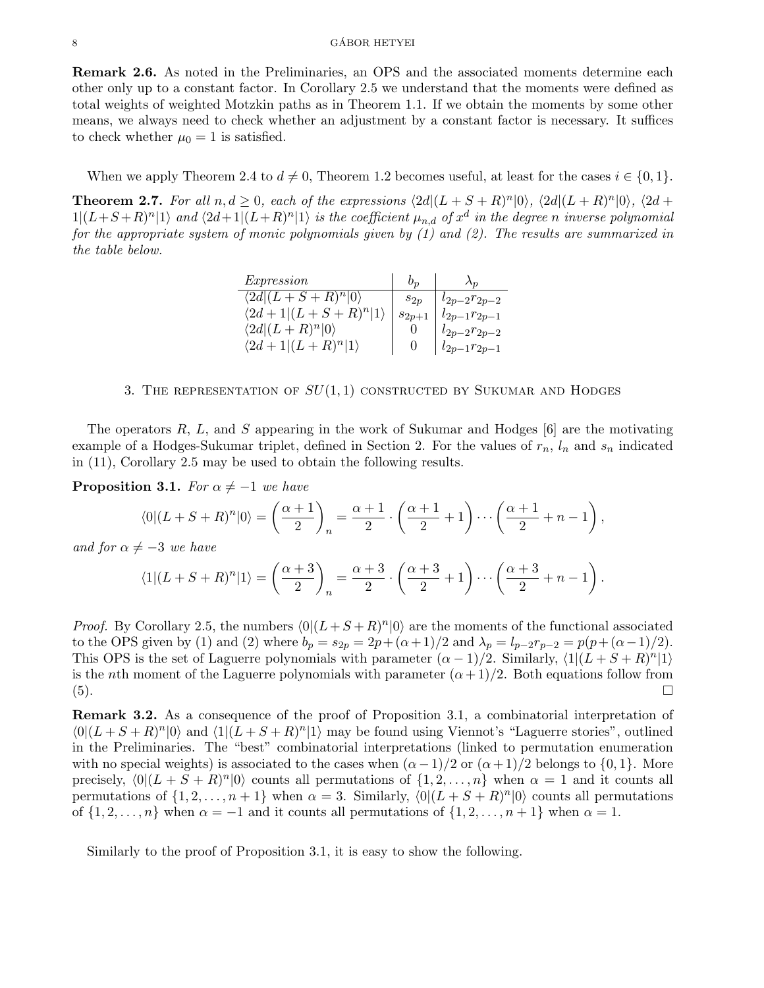Remark 2.6. As noted in the Preliminaries, an OPS and the associated moments determine each other only up to a constant factor. In Corollary 2.5 we understand that the moments were defined as total weights of weighted Motzkin paths as in Theorem 1.1. If we obtain the moments by some other means, we always need to check whether an adjustment by a constant factor is necessary. It suffices to check whether  $\mu_0 = 1$  is satisfied.

When we apply Theorem 2.4 to  $d \neq 0$ , Theorem 1.2 becomes useful, at least for the cases  $i \in \{0, 1\}$ .

**Theorem 2.7.** For all  $n, d \ge 0$ , each of the expressions  $\langle 2d|(L + S + R)^n |0 \rangle$ ,  $\langle 2d|(L + R)^n |0 \rangle$ ,  $\langle 2d + R \rangle$  $1|(L+S+R)^n|1\rangle$  and  $\langle 2d+1|(L+R)^n|1\rangle$  is the coefficient  $\mu_{n,d}$  of  $x^d$  in the degree n inverse polynomial for the appropriate system of monic polynomials given by (1) and (2). The results are summarized in the table below.

| Expression                        | $v_n$      | $\Lambda_{\eta}$   |
|-----------------------------------|------------|--------------------|
| $\langle 2d (L+S+R)^n 0\rangle$   | $s_{2n}$   | $l_{2p-2}r_{2p-2}$ |
| $\langle 2d+1 (L+S+R)^n 1\rangle$ | $s_{2n+1}$ | $l_{2p-1}r_{2p-1}$ |
| $\langle 2d (L+R)^n 0\rangle$     |            | $l_{2p-2}r_{2p-2}$ |
| $\langle 2d+1 (L+R)^n 1\rangle$   |            | $l_{2p-1}r_{2p-1}$ |

# 3. THE REPRESENTATION OF  $SU(1,1)$  CONSTRUCTED BY SUKUMAR AND HODGES

The operators  $R, L$ , and  $S$  appearing in the work of Sukumar and Hodges  $[6]$  are the motivating example of a Hodges-Sukumar triplet, defined in Section 2. For the values of  $r_n$ ,  $l_n$  and  $s_n$  indicated in (11), Corollary 2.5 may be used to obtain the following results.

**Proposition 3.1.** For  $\alpha \neq -1$  we have

$$
\langle 0 | (L+S+R)^n | 0 \rangle = \left(\frac{\alpha+1}{2}\right)_n = \frac{\alpha+1}{2} \cdot \left(\frac{\alpha+1}{2}+1\right) \cdots \left(\frac{\alpha+1}{2}+n-1\right),
$$

and for  $\alpha \neq -3$  we have

$$
\langle 1 | (L+S+R)^n | 1 \rangle = \left(\frac{\alpha+3}{2}\right)_n = \frac{\alpha+3}{2} \cdot \left(\frac{\alpha+3}{2}+1\right) \cdots \left(\frac{\alpha+3}{2}+n-1\right).
$$

*Proof.* By Corollary 2.5, the numbers  $\langle 0 | (L + S + R)^n | 0 \rangle$  are the moments of the functional associated to the OPS given by (1) and (2) where  $b_p = s_{2p} = 2p + (\alpha + 1)/2$  and  $\lambda_p = l_{p-2}r_{p-2} = p(p + (\alpha - 1)/2)$ . This OPS is the set of Laguerre polynomials with parameter  $(\alpha - 1)/2$ . Similarly,  $\langle 1 | (L + S + R)^n | 1 \rangle$ is the nth moment of the Laguerre polynomials with parameter  $(\alpha+1)/2$ . Both equations follow from (5).

Remark 3.2. As a consequence of the proof of Proposition 3.1, a combinatorial interpretation of  $\langle 0|(L + S + R)^n |0\rangle$  and  $\langle 1|(L + S + R)^n |1\rangle$  may be found using Viennot's "Laguerre stories", outlined in the Preliminaries. The "best" combinatorial interpretations (linked to permutation enumeration with no special weights) is associated to the cases when  $(\alpha - 1)/2$  or  $(\alpha + 1)/2$  belongs to  $\{0, 1\}$ . More precisely,  $\langle 0|(L + S + R)^n |0\rangle$  counts all permutations of  $\{1, 2, ..., n\}$  when  $\alpha = 1$  and it counts all permutations of  $\{1, 2, ..., n+1\}$  when  $\alpha = 3$ . Similarly,  $\langle 0 | (L + S + R)^n | 0 \rangle$  counts all permutations of  $\{1, 2, \ldots, n\}$  when  $\alpha = -1$  and it counts all permutations of  $\{1, 2, \ldots, n+1\}$  when  $\alpha = 1$ .

Similarly to the proof of Proposition 3.1, it is easy to show the following.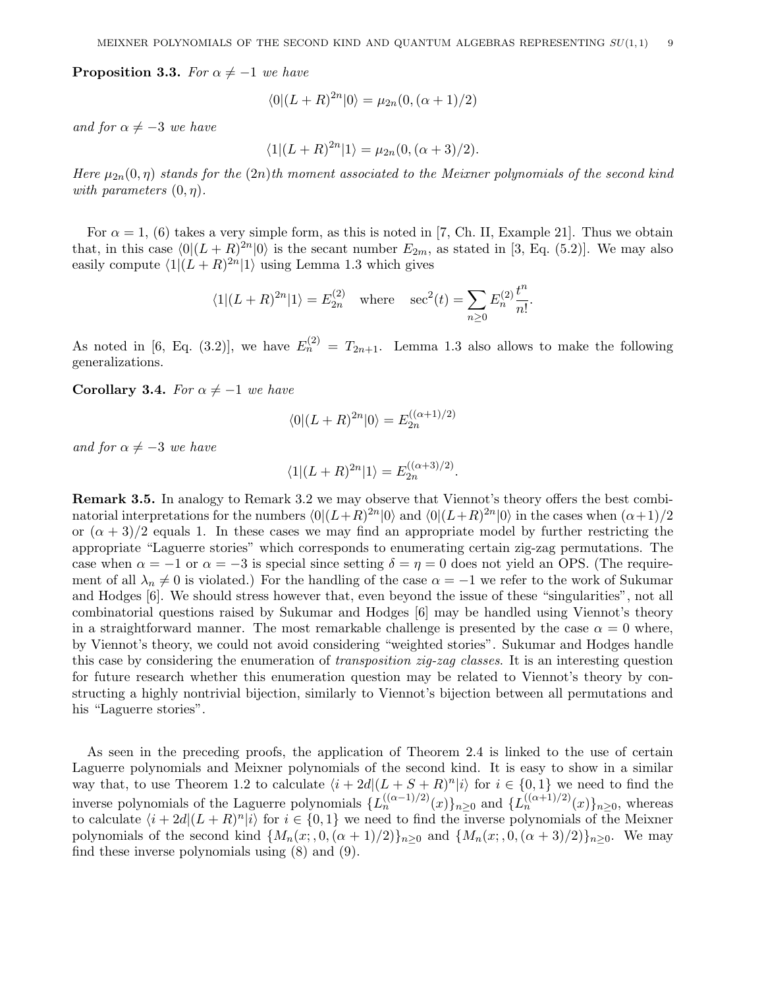**Proposition 3.3.** For  $\alpha \neq -1$  we have

$$
\langle 0|(L+R)^{2n}|0\rangle = \mu_{2n}(0, (\alpha+1)/2)
$$

and for  $\alpha \neq -3$  we have

$$
\langle 1 | (L+R)^{2n} | 1 \rangle = \mu_{2n}(0, (\alpha+3)/2).
$$

Here  $\mu_{2n}(0,\eta)$  stands for the  $(2n)$ th moment associated to the Meixner polynomials of the second kind with parameters  $(0, \eta)$ .

For  $\alpha = 1$ , (6) takes a very simple form, as this is noted in [7, Ch. II, Example 21]. Thus we obtain that, in this case  $\langle 0|(L + R)^{2n}|0\rangle$  is the secant number  $E_{2m}$ , as stated in [3, Eq. (5.2)]. We may also easily compute  $\langle 1 | (L + R)^{2n} | 1 \rangle$  using Lemma 1.3 which gives

$$
\langle 1 | (L + R)^{2n} | 1 \rangle = E_{2n}^{(2)}
$$
 where  $\sec^2(t) = \sum_{n \ge 0} E_n^{(2)} \frac{t^n}{n!}.$ 

As noted in [6, Eq. (3.2)], we have  $E_n^{(2)} = T_{2n+1}$ . Lemma 1.3 also allows to make the following generalizations.

Corollary 3.4. For  $\alpha \neq -1$  we have

$$
\langle 0|(L+R)^{2n}|0\rangle = E_{2n}^{((\alpha+1)/2)}
$$

and for  $\alpha \neq -3$  we have

$$
\langle 1|(L+R)^{2n}|1\rangle = E_{2n}^{((\alpha+3)/2)}.
$$

Remark 3.5. In analogy to Remark 3.2 we may observe that Viennot's theory offers the best combinatorial interpretations for the numbers  $\langle 0|(L+R)^{2n}|0\rangle$  and  $\langle 0|(L+R)^{2n}|0\rangle$  in the cases when  $(\alpha+1)/2$ or  $(\alpha + 3)/2$  equals 1. In these cases we may find an appropriate model by further restricting the appropriate "Laguerre stories" which corresponds to enumerating certain zig-zag permutations. The case when  $\alpha = -1$  or  $\alpha = -3$  is special since setting  $\delta = \eta = 0$  does not yield an OPS. (The requirement of all  $\lambda_n \neq 0$  is violated.) For the handling of the case  $\alpha = -1$  we refer to the work of Sukumar and Hodges [6]. We should stress however that, even beyond the issue of these "singularities", not all combinatorial questions raised by Sukumar and Hodges [6] may be handled using Viennot's theory in a straightforward manner. The most remarkable challenge is presented by the case  $\alpha = 0$  where, by Viennot's theory, we could not avoid considering "weighted stories". Sukumar and Hodges handle this case by considering the enumeration of transposition zig-zag classes. It is an interesting question for future research whether this enumeration question may be related to Viennot's theory by constructing a highly nontrivial bijection, similarly to Viennot's bijection between all permutations and his "Laguerre stories".

As seen in the preceding proofs, the application of Theorem 2.4 is linked to the use of certain Laguerre polynomials and Meixner polynomials of the second kind. It is easy to show in a similar way that, to use Theorem 1.2 to calculate  $\langle i + 2d|(L + S + R)^n|i\rangle$  for  $i \in \{0,1\}$  we need to find the inverse polynomials of the Laguerre polynomials  $\{L_n^{((\alpha-1)/2)}(x)\}_{n\geq 0}$  and  $\{L_n^{((\alpha+1)/2)}(x)\}_{n\geq 0}$ , whereas to calculate  $\langle i + 2d|(L + R)^n|i\rangle$  for  $i \in \{0,1\}$  we need to find the inverse polynomials of the Meixner polynomials of the second kind  $\{M_n(x, 0, (\alpha + 1)/2)\}_{n \geq 0}$  and  $\{M_n(x, 0, (\alpha + 3)/2)\}_{n \geq 0}$ . We may find these inverse polynomials using (8) and (9).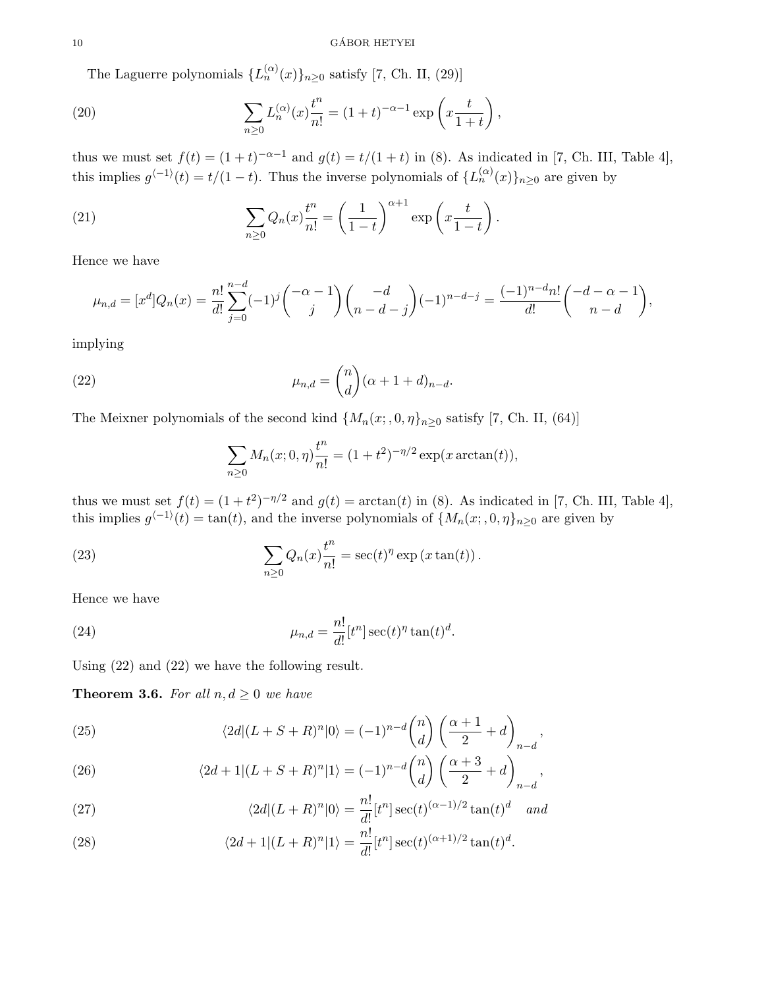# $\begin{array}{c}\n 10 \\
\hline\n \text{GÁBOR HETYEI}\n \end{array}$

The Laguerre polynomials  $\{L_n^{(\alpha)}(x)\}_{n\geq 0}$  satisfy [7, Ch. II, (29)]

(20) 
$$
\sum_{n\geq 0} L_n^{(\alpha)}(x) \frac{t^n}{n!} = (1+t)^{-\alpha-1} \exp\left(x \frac{t}{1+t}\right),
$$

thus we must set  $f(t) = (1 + t)^{-\alpha - 1}$  and  $g(t) = t/(1 + t)$  in (8). As indicated in [7, Ch. III, Table 4], this implies  $g^{-1}(t) = t/(1-t)$ . Thus the inverse polynomials of  $\{L_n^{(\alpha)}(x)\}_{n\geq 0}$  are given by

(21) 
$$
\sum_{n\geq 0} Q_n(x) \frac{t^n}{n!} = \left(\frac{1}{1-t}\right)^{\alpha+1} \exp\left(x \frac{t}{1-t}\right).
$$

Hence we have

$$
\mu_{n,d} = [x^d]Q_n(x) = \frac{n!}{d!} \sum_{j=0}^{n-d} (-1)^j \binom{-\alpha-1}{j} \binom{-d}{n-d-j} (-1)^{n-d-j} = \frac{(-1)^{n-d}n!}{d!} \binom{-d-\alpha-1}{n-d},
$$

implying

(22) 
$$
\mu_{n,d} = \binom{n}{d} (\alpha + 1 + d)_{n-d}.
$$

The Meixner polynomials of the second kind  $\{M_n(x, 0, \eta\}_{n\geq 0}$  satisfy [7, Ch. II, (64)]

$$
\sum_{n\geq 0} M_n(x; 0, \eta) \frac{t^n}{n!} = (1 + t^2)^{-\eta/2} \exp(x \arctan(t)),
$$

thus we must set  $f(t) = (1 + t^2)^{-\eta/2}$  and  $g(t) = \arctan(t)$  in (8). As indicated in [7, Ch. III, Table 4], this implies  $g^{-1}(t) = \tan(t)$ , and the inverse polynomials of  $\{M_n(x, 0, \eta\}_{n \geq 0}$  are given by

(23) 
$$
\sum_{n\geq 0} Q_n(x) \frac{t^n}{n!} = \sec(t)^{\eta} \exp(x \tan(t)).
$$

Hence we have

(24) 
$$
\mu_{n,d} = \frac{n!}{d!} [t^n] \sec(t)^{\eta} \tan(t)^d.
$$

Using (22) and (22) we have the following result.

**Theorem 3.6.** For all  $n, d \geq 0$  we have

(25) 
$$
\langle 2d|(L+S+R)^n|0\rangle = (-1)^{n-d} \binom{n}{d} \left(\frac{\alpha+1}{2}+d\right)_{n-d},
$$

(26) 
$$
\langle 2d+1|(L+S+R)^n|1\rangle = (-1)^{n-d}\binom{n}{d}\left(\frac{\alpha+3}{2}+d\right)_{n-d},
$$

(27) 
$$
\langle 2d|(L+R)^n|0\rangle = \frac{n!}{d!} [t^n] \sec(t)^{(\alpha-1)/2} \tan(t)^d \quad and
$$

(28) 
$$
\langle 2d+1|(L+R)^n|1\rangle = \frac{n!}{d!} [t^n] \sec(t)^{(\alpha+1)/2} \tan(t)^d.
$$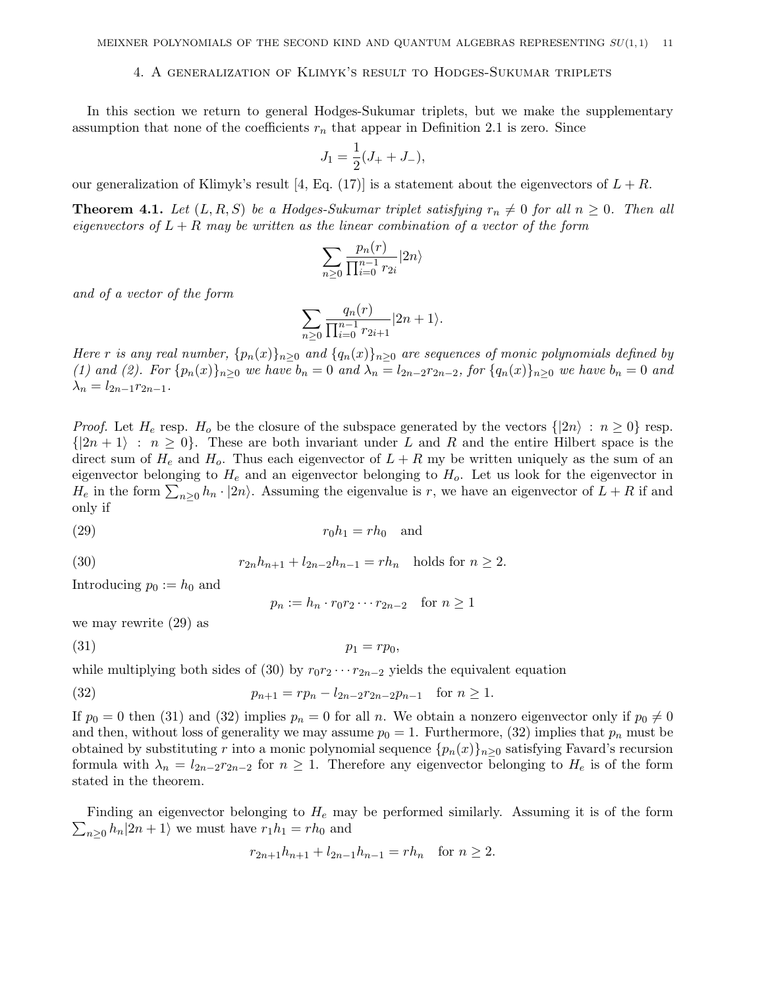# 4. A generalization of Klimyk's result to Hodges-Sukumar triplets

In this section we return to general Hodges-Sukumar triplets, but we make the supplementary assumption that none of the coefficients  $r_n$  that appear in Definition 2.1 is zero. Since

$$
J_1 = \frac{1}{2}(J_+ + J_-),
$$

our generalization of Klimyk's result [4, Eq. (17)] is a statement about the eigenvectors of  $L + R$ .

**Theorem 4.1.** Let  $(L, R, S)$  be a Hodges-Sukumar triplet satisfying  $r_n \neq 0$  for all  $n \geq 0$ . Then all eigenvectors of  $L + R$  may be written as the linear combination of a vector of the form

$$
\sum_{n\geq 0} \frac{p_n(r)}{\prod_{i=0}^{n-1} r_{2i}} |2n\rangle
$$

and of a vector of the form

$$
\sum_{n\geq 0} \frac{q_n(r)}{\prod_{i=0}^{n-1} r_{2i+1}} |2n+1\rangle.
$$

Here r is any real number,  $\{p_n(x)\}_{n\geq 0}$  and  $\{q_n(x)\}_{n\geq 0}$  are sequences of monic polynomials defined by (1) and (2). For  $\{p_n(x)\}_{n>0}$  we have  $b_n = 0$  and  $\lambda_n = l_{2n-2}r_{2n-2}$ , for  $\{q_n(x)\}_{n>0}$  we have  $b_n = 0$  and  $\lambda_n = l_{2n-1}r_{2n-1}.$ 

*Proof.* Let  $H_e$  resp.  $H_o$  be the closure of the subspace generated by the vectors  $\{|2n\rangle : n \geq 0\}$  resp.  $\{|2n+1\rangle : n \geq 0\}$ . These are both invariant under L and R and the entire Hilbert space is the direct sum of  $H_e$  and  $H_o$ . Thus each eigenvector of  $L + R$  my be written uniquely as the sum of an eigenvector belonging to  $H_e$  and an eigenvector belonging to  $H_o$ . Let us look for the eigenvector in  $H_e$  in the form  $\sum_{n\geq 0} h_n \cdot |2n\rangle$ . Assuming the eigenvalue is r, we have an eigenvector of  $L + R$  if and only if

$$
r_0 h_1 = r h_0 \quad \text{and}
$$

(30) 
$$
r_{2n}h_{n+1} + l_{2n-2}h_{n-1} = rh_n \text{ holds for } n \ge 2.
$$

Introducing  $p_0 := h_0$  and

 $p_n := h_n \cdot r_0 r_2 \cdots r_{2n-2}$  for  $n \ge 1$ 

we may rewrite (29) as

(31) p<sup>1</sup> = rp0,

while multiplying both sides of (30) by  $r_0r_2 \cdots r_{2n-2}$  yields the equivalent equation

(32) 
$$
p_{n+1} = rp_n - l_{2n-2}r_{2n-2}p_{n-1} \text{ for } n \ge 1.
$$

If  $p_0 = 0$  then (31) and (32) implies  $p_n = 0$  for all n. We obtain a nonzero eigenvector only if  $p_0 \neq 0$ and then, without loss of generality we may assume  $p_0 = 1$ . Furthermore, (32) implies that  $p_n$  must be obtained by substituting r into a monic polynomial sequence  ${p_n(x)}_{n>0}$  satisfying Favard's recursion formula with  $\lambda_n = l_{2n-2}r_{2n-2}$  for  $n \geq 1$ . Therefore any eigenvector belonging to  $H_e$  is of the form stated in the theorem.

 $\sum_{n\geq 0} h_n |2n+1\rangle$  we must have  $r_1 h_1 = rh_0$  and Finding an eigenvector belonging to  $H_e$  may be performed similarly. Assuming it is of the form

$$
r_{2n+1}h_{n+1} + l_{2n-1}h_{n-1} = rh_n \text{ for } n \ge 2.
$$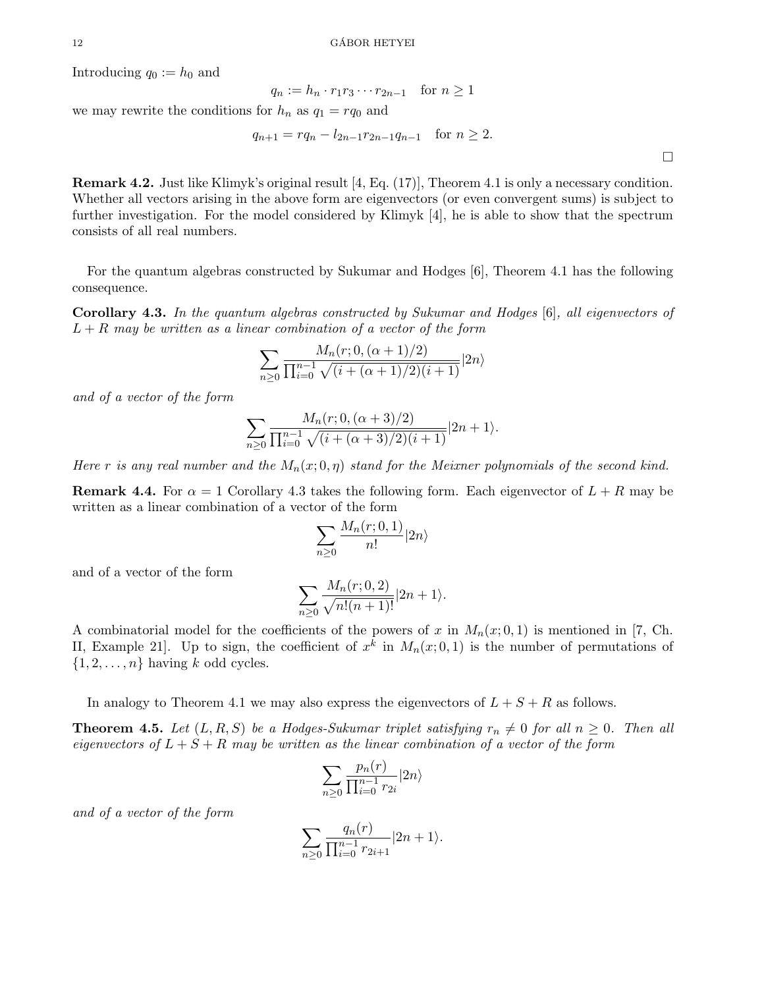Introducing  $q_0 := h_0$  and

$$
q_n := h_n \cdot r_1 r_3 \cdots r_{2n-1} \quad \text{for } n \ge 1
$$

we may rewrite the conditions for  $h_n$  as  $q_1 = r q_0$  and

$$
q_{n+1} = r q_n - l_{2n-1} r_{2n-1} q_{n-1} \quad \text{for } n \ge 2.
$$

Remark 4.2. Just like Klimyk's original result [4, Eq. (17)], Theorem 4.1 is only a necessary condition. Whether all vectors arising in the above form are eigenvectors (or even convergent sums) is subject to further investigation. For the model considered by Klimyk [4], he is able to show that the spectrum consists of all real numbers.

For the quantum algebras constructed by Sukumar and Hodges [6], Theorem 4.1 has the following consequence.

Corollary 4.3. In the quantum algebras constructed by Sukumar and Hodges [6], all eigenvectors of  $L + R$  may be written as a linear combination of a vector of the form

$$
\sum_{n\geq 0} \frac{M_n(r; 0, (\alpha + 1)/2)}{\prod_{i=0}^{n-1} \sqrt{(i + (\alpha + 1)/2)(i + 1)}} |2n\rangle
$$

and of a vector of the form

$$
\sum_{n\geq 0} \frac{M_n(r; 0, (\alpha+3)/2)}{\prod_{i=0}^{n-1} \sqrt{(i+(\alpha+3)/2)(i+1)}} |2n+1\rangle.
$$

Here r is any real number and the  $M_n(x; 0, \eta)$  stand for the Meixner polynomials of the second kind.

**Remark 4.4.** For  $\alpha = 1$  Corollary 4.3 takes the following form. Each eigenvector of  $L + R$  may be written as a linear combination of a vector of the form

$$
\sum_{n\geq 0} \frac{M_n(r;0,1)}{n!} |2n\rangle
$$

and of a vector of the form

$$
\sum_{n\geq 0} \frac{M_n(r;0,2)}{\sqrt{n!(n+1)!}} |2n+1\rangle.
$$

A combinatorial model for the coefficients of the powers of x in  $M_n(x; 0, 1)$  is mentioned in [7, Ch. II, Example 21. Up to sign, the coefficient of  $x^k$  in  $M_n(x; 0, 1)$  is the number of permutations of  $\{1, 2, \ldots, n\}$  having k odd cycles.

In analogy to Theorem 4.1 we may also express the eigenvectors of  $L + S + R$  as follows.

**Theorem 4.5.** Let  $(L, R, S)$  be a Hodges-Sukumar triplet satisfying  $r_n \neq 0$  for all  $n \geq 0$ . Then all eigenvectors of  $L + S + R$  may be written as the linear combination of a vector of the form

$$
\sum_{n\geq 0} \frac{p_n(r)}{\prod_{i=0}^{n-1} r_{2i}} |2n\rangle
$$

and of a vector of the form

$$
\sum_{n\geq 0} \frac{q_n(r)}{\prod_{i=0}^{n-1} r_{2i+1}} |2n+1\rangle.
$$

 $\Box$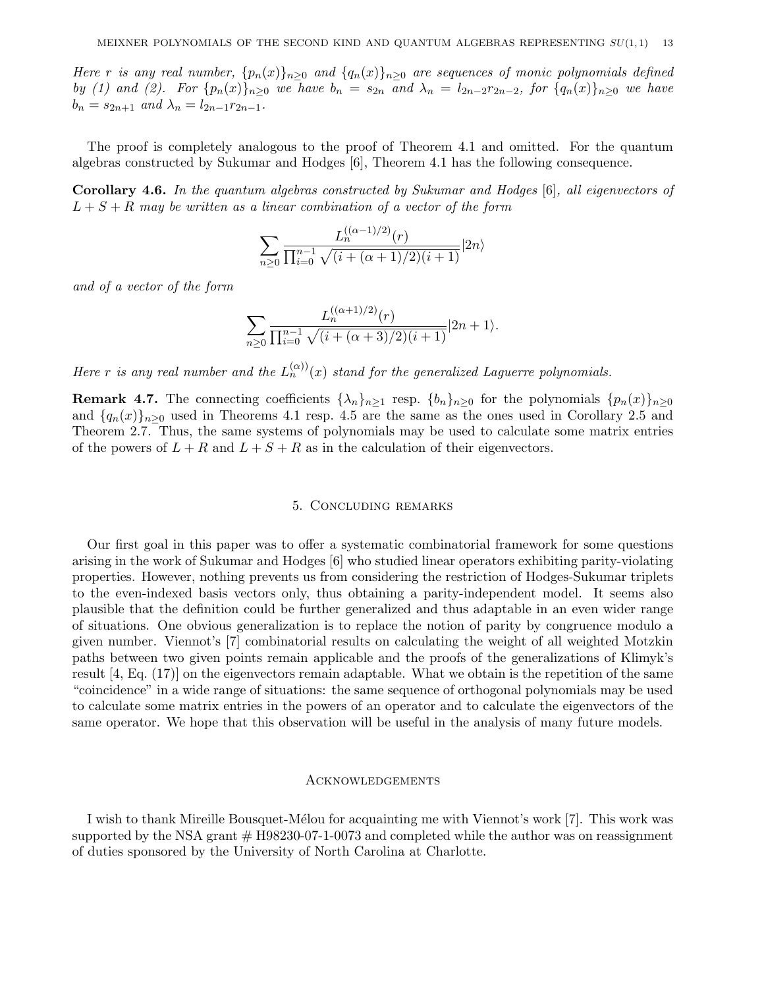Here r is any real number,  ${p_n(x)}_{n\geq 0}$  and  ${q_n(x)}_{n\geq 0}$  are sequences of monic polynomials defined by (1) and (2). For  $\{p_n(x)\}_{n\geq 0}$  we have  $b_n = s_{2n}$  and  $\lambda_n = l_{2n-2}r_{2n-2}$ , for  $\{q_n(x)\}_{n\geq 0}$  we have  $b_n = s_{2n+1}$  and  $\lambda_n = l_{2n-1}r_{2n-1}$ .

The proof is completely analogous to the proof of Theorem 4.1 and omitted. For the quantum algebras constructed by Sukumar and Hodges [6], Theorem 4.1 has the following consequence.

Corollary 4.6. In the quantum algebras constructed by Sukumar and Hodges [6], all eigenvectors of  $L + S + R$  may be written as a linear combination of a vector of the form

$$
\sum_{n\geq 0} \frac{L_n^{((\alpha-1)/2)}(r)}{\prod_{i=0}^{n-1} \sqrt{(i+(\alpha+1)/2)(i+1)}} |2n\rangle
$$

and of a vector of the form

$$
\sum_{n\geq 0} \frac{L_n^{((\alpha+1)/2)}(r)}{\prod_{i=0}^{n-1} \sqrt{(i+(\alpha+3)/2)(i+1)}} |2n+1\rangle.
$$

Here r is any real number and the  $L_n^{(\alpha)}(x)$  stand for the generalized Laguerre polynomials.

**Remark 4.7.** The connecting coefficients  $\{\lambda_n\}_{n\geq 1}$  resp.  $\{b_n\}_{n\geq 0}$  for the polynomials  $\{p_n(x)\}_{n\geq 0}$ and  $\{q_n(x)\}_{n\geq 0}$  used in Theorems 4.1 resp. 4.5 are the same as the ones used in Corollary 2.5 and Theorem 2.7. Thus, the same systems of polynomials may be used to calculate some matrix entries of the powers of  $L + R$  and  $L + S + R$  as in the calculation of their eigenvectors.

### 5. Concluding remarks

Our first goal in this paper was to offer a systematic combinatorial framework for some questions arising in the work of Sukumar and Hodges [6] who studied linear operators exhibiting parity-violating properties. However, nothing prevents us from considering the restriction of Hodges-Sukumar triplets to the even-indexed basis vectors only, thus obtaining a parity-independent model. It seems also plausible that the definition could be further generalized and thus adaptable in an even wider range of situations. One obvious generalization is to replace the notion of parity by congruence modulo a given number. Viennot's [7] combinatorial results on calculating the weight of all weighted Motzkin paths between two given points remain applicable and the proofs of the generalizations of Klimyk's result [4, Eq. (17)] on the eigenvectors remain adaptable. What we obtain is the repetition of the same "coincidence" in a wide range of situations: the same sequence of orthogonal polynomials may be used to calculate some matrix entries in the powers of an operator and to calculate the eigenvectors of the same operator. We hope that this observation will be useful in the analysis of many future models.

# **ACKNOWLEDGEMENTS**

I wish to thank Mireille Bousquet-Mélou for acquainting me with Viennot's work [7]. This work was supported by the NSA grant  $#$  H98230-07-1-0073 and completed while the author was on reassignment of duties sponsored by the University of North Carolina at Charlotte.